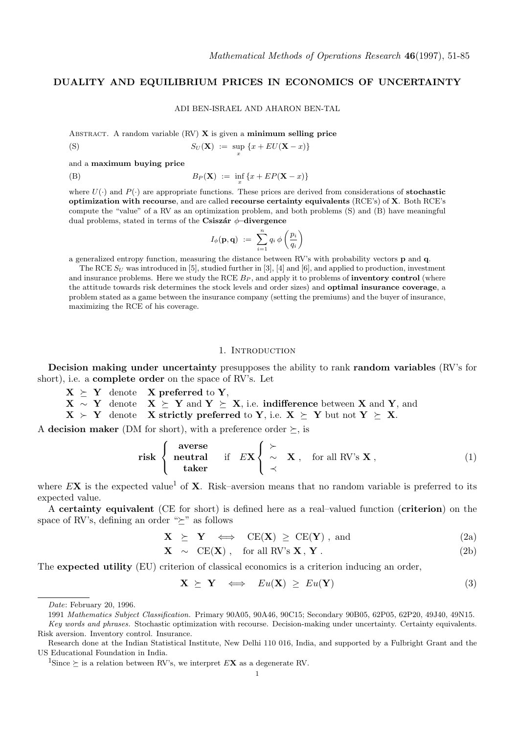# DUALITY AND EQUILIBRIUM PRICES IN ECONOMICS OF UNCERTAINTY

ADI BEN-ISRAEL AND AHARON BEN-TAL

x

ABSTRACT. A random variable  $(RV)$  **X** is given a **minimum selling price** 

$$
S_U(\mathbf{X}) := \sup \{x + EU(\mathbf{X} - x)\}
$$

and a maximum buying price

(B) 
$$
B_P(\mathbf{X}) := \inf_x \{x + EP(\mathbf{X} - x)\}
$$

where  $U(\cdot)$  and  $P(\cdot)$  are appropriate functions. These prices are derived from considerations of **stochastic** optimization with recourse, and are called recourse certainty equivalents (RCE's) of X. Both RCE's compute the "value" of a RV as an optimization problem, and both problems (S) and (B) have meaningful dual problems, stated in terms of the Csiszár  $\phi$ –divergence

$$
I_{\phi}(\mathbf{p},\mathbf{q})\ :=\ \sum_{i=1}^n q_i\,\phi\left(\frac{p_i}{q_i}\right)
$$

a generalized entropy function, measuring the distance between RV's with probability vectors p and q.

The RCE  $S_U$  was introduced in [5], studied further in [3], [4] and [6], and applied to production, investment and insurance problems. Here we study the RCE  $B<sub>P</sub>$ , and apply it to problems of **inventory control** (where the attitude towards risk determines the stock levels and order sizes) and optimal insurance coverage, a problem stated as a game between the insurance company (setting the premiums) and the buyer of insurance, maximizing the RCE of his coverage.

## 1. INTRODUCTION

Decision making under uncertainty presupposes the ability to rank random variables (RV's for short), i.e. a **complete order** on the space of RV's. Let

- $X \succeq Y$  denote X preferred to Y,
- $X \sim Y$  denote  $X \succeq Y$  and  $Y \succeq X$ , i.e. indifference between X and Y, and

 $X > Y$  denote X strictly preferred to Y, i.e.  $X \succeq Y$  but not  $Y \succeq X$ .

A decision maker (DM for short), with a preference order  $\succeq$ , is

$$
\text{risk} \left\{ \begin{array}{ll} \text{averse} \\ \text{neutral} \\ \text{taken} \end{array} \right. \quad \text{if} \quad EX \left\{ \begin{array}{ll} \leftarrow \\ \sim \\ \sim \end{array} \right. \mathbf{X} \ , \quad \text{for all RV's } \mathbf{X} \ , \tag{1}
$$

where  $E$ **X** is the expected value<sup>1</sup> of **X**. Risk–aversion means that no random variable is preferred to its expected value.

A certainty equivalent (CE for short) is defined here as a real–valued function (criterion) on the space of RV's, defining an order " $\succeq$ " as follows

$$
\mathbf{X} \geq \mathbf{Y} \iff \mathrm{CE}(\mathbf{X}) \geq \mathrm{CE}(\mathbf{Y}) \text{, and} \tag{2a}
$$

$$
\mathbf{X} \sim \text{CE}(\mathbf{X}) \ , \quad \text{for all RV's } \mathbf{X}, \mathbf{Y} \ . \tag{2b}
$$

The expected utility (EU) criterion of classical economics is a criterion inducing an order,

 $\mathbf{X} \succeq \mathbf{Y} \iff E u(\mathbf{X}) \geq E u(\mathbf{Y})$  (3)

Date: February 20, 1996.

<sup>1991</sup> Mathematics Subject Classification. Primary 90A05, 90A46, 90C15; Secondary 90B05, 62P05, 62P20, 49J40, 49N15. Key words and phrases. Stochastic optimization with recourse. Decision-making under uncertainty. Certainty equivalents. Risk aversion. Inventory control. Insurance.

Research done at the Indian Statistical Institute, New Delhi 110 016, India, and supported by a Fulbright Grant and the US Educational Foundation in India.

<sup>&</sup>lt;sup>1</sup>Since  $\succeq$  is a relation between RV's, we interpret EX as a degenerate RV.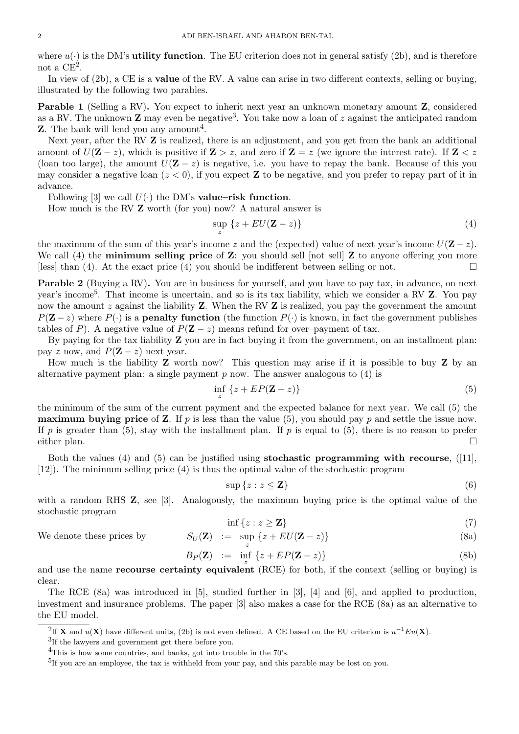where  $u(\cdot)$  is the DM's **utility function**. The EU criterion does not in general satisfy (2b), and is therefore not a  $CE^2$ .

In view of (2b), a CE is a value of the RV. A value can arise in two different contexts, selling or buying, illustrated by the following two parables.

Parable 1 (Selling a RV). You expect to inherit next year an unknown monetary amount Z, considered as a RV. The unknown  $\mathbf Z$  may even be negative<sup>3</sup>. You take now a loan of  $z$  against the anticipated random **Z**. The bank will lend you any amount<sup>4</sup>.

Next year, after the RV **Z** is realized, there is an adjustment, and you get from the bank an additional amount of  $U(\mathbf{Z} - z)$ , which is positive if  $\mathbf{Z} > z$ , and zero if  $\mathbf{Z} = z$  (we ignore the interest rate). If  $\mathbf{Z} < z$ (loan too large), the amount  $U(\mathbf{Z} - z)$  is negative, i.e. you have to repay the bank. Because of this you may consider a negative loan  $(z < 0)$ , if you expect **Z** to be negative, and you prefer to repay part of it in advance.

Following [3] we call  $U(\cdot)$  the DM's value–risk function.

How much is the RV Z worth (for you) now? A natural answer is

$$
\sup_{z} \{z + EU(\mathbf{Z} - z)\}\tag{4}
$$

the maximum of the sum of this year's income z and the (expected) value of next year's income  $U(\mathbf{Z} - z)$ . We call  $(4)$  the **minimum selling price** of **Z**: you should sell [not sell] **Z** to anyone offering you more [less] than (4). At the exact price (4) you should be indifferent between selling or not.  $\square$ 

Parable 2 (Buying a RV). You are in business for yourself, and you have to pay tax, in advance, on next year's income<sup>5</sup>. That income is uncertain, and so is its tax liability, which we consider a RV **Z**. You pay now the amount  $z$  against the liability **Z**. When the RV **Z** is realized, you pay the government the amount  $P(Z-z)$  where  $P(\cdot)$  is a **penalty function** (the function  $P(\cdot)$  is known, in fact the government publishes tables of P). A negative value of  $P(Z - z)$  means refund for over–payment of tax.

By paying for the tax liability Z you are in fact buying it from the government, on an installment plan: pay z now, and  $P(Z - z)$  next year.

How much is the liability  $Z$  worth now? This question may arise if it is possible to buy  $Z$  by an alternative payment plan: a single payment  $p$  now. The answer analogous to  $(4)$  is

$$
\inf_{z} \{z + EP(\mathbf{Z} - z)\}\tag{5}
$$

the minimum of the sum of the current payment and the expected balance for next year. We call (5) the **maximum buying price** of **Z**. If p is less than the value (5), you should pay p and settle the issue now. If p is greater than (5), stay with the installment plan. If p is equal to (5), there is no reason to prefer either plan.

Both the values (4) and (5) can be justified using **stochastic programming with recourse**,  $(11)$ , [12]). The minimum selling price (4) is thus the optimal value of the stochastic program

$$
\sup \{z : z \le \mathbf{Z}\}\tag{6}
$$

with a random RHS **Z**, see [3]. Analogously, the maximum buying price is the optimal value of the stochastic program

$$
\inf \{ z : z \ge \mathbf{Z} \} \tag{7}
$$

We denote these prices by z  $\{z + EU(\mathbf{Z} - z)\}\$  (8a)

$$
B_P(\mathbf{Z}) \quad := \quad \inf \ \{ z + EP(\mathbf{Z} - z) \} \tag{8b}
$$

and use the name **recourse certainty equivalent** (RCE) for both, if the context (selling or buying) is clear.

The RCE (8a) was introduced in [5], studied further in [3], [4] and [6], and applied to production, investment and insurance problems. The paper [3] also makes a case for the RCE (8a) as an alternative to the EU model.

<sup>&</sup>lt;sup>2</sup>If **X** and  $u(X)$  have different units, (2b) is not even defined. A CE based on the EU criterion is  $u^{-1}Eu(X)$ .

<sup>&</sup>lt;sup>3</sup>If the lawyers and government get there before you.

<sup>&</sup>lt;sup>4</sup>This is how some countries, and banks, got into trouble in the 70's.

<sup>&</sup>lt;sup>5</sup>If you are an employee, the tax is withheld from your pay, and this parable may be lost on you.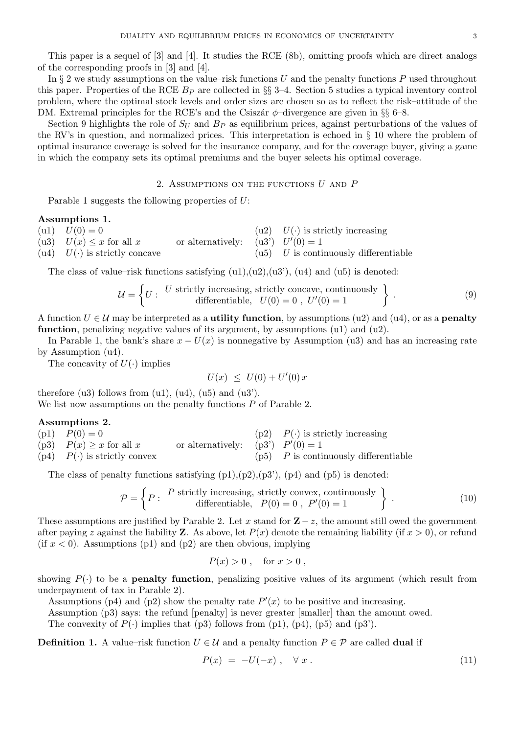This paper is a sequel of [3] and [4]. It studies the RCE (8b), omitting proofs which are direct analogs of the corresponding proofs in [3] and [4].

In  $\S 2$  we study assumptions on the value–risk functions U and the penalty functions P used throughout this paper. Properties of the RCE  $B<sub>P</sub>$  are collected in §§ 3–4. Section 5 studies a typical inventory control problem, where the optimal stock levels and order sizes are chosen so as to reflect the risk–attitude of the DM. Extremal principles for the RCE's and the Csiszar  $\phi$ –divergence are given in §§ 6–8.

Section 9 highlights the role of  $S_U$  and  $B_P$  as equilibrium prices, against perturbations of the values of the RV's in question, and normalized prices. This interpretation is echoed in § 10 where the problem of optimal insurance coverage is solved for the insurance company, and for the coverage buyer, giving a game in which the company sets its optimal premiums and the buyer selects his optimal coverage.

# 2. ASSUMPTIONS ON THE FUNCTIONS  $U$  and  $P$

Parable 1 suggests the following properties of  $U$ :

# Assumptions 1.

| $(u1)$ $U(0) = 0$                   |                                      | (u2) $U(\cdot)$ is strictly increasing   |
|-------------------------------------|--------------------------------------|------------------------------------------|
| (u3) $U(x) \leq x$ for all x        | or alternatively: $( u3') U'(0) = 1$ |                                          |
| (u4) $U(\cdot)$ is strictly concave |                                      | $( u5)$ U is continuously differentiable |

The class of value–risk functions satisfying  $(u1), (u2), (u3), (u4)$  and  $(u5)$  is denoted:

$$
\mathcal{U} = \left\{ U : U \text{ strictly increasing, strictly concave, continuously} \atop \text{differentiable, } U(0) = 0, \ U'(0) = 1 \right\} \tag{9}
$$

A function  $U \in \mathcal{U}$  may be interpreted as a **utility function**, by assumptions (u2) and (u4), or as a **penalty function**, penalizing negative values of its argument, by assumptions  $(u1)$  and  $(u2)$ .

In Parable 1, the bank's share  $x - U(x)$  is nonnegative by Assumption (u3) and has an increasing rate by Assumption (u4).

The concavity of  $U(\cdot)$  implies

$$
U(x) \leq U(0) + U'(0) x
$$

therefore  $(u3)$  follows from  $(u1)$ ,  $(u4)$ ,  $(u5)$  and  $(u3')$ . We list now assumptions on the penalty functions  $P$  of Parable 2.

#### Assumptions 2.

(p1)  $P(0) = 0$  (p2)  $P(\cdot)$  is strictly increasing (p3)  $P(x) \ge x$  for all x or alternatively: (p3')  $\dot{q}(0) = 1$ (p4)  $P(\cdot)$  is strictly convex (p5) P is continuously differentiable

The class of penalty functions satisfying  $(p1),(p2),(p3')$ ,  $(p4)$  and  $(p5)$  is denoted:

$$
\mathcal{P} = \left\{ P : \begin{array}{c} P \text{ strictly increasing, strictly convex, continuously} \\ \text{differentiable,} \end{array} \right\}.
$$
 (10)

These assumptions are justified by Parable 2. Let x stand for  $\mathbf{Z}-z$ , the amount still owed the government after paying z against the liability **Z**. As above, let  $P(x)$  denote the remaining liability (if  $x > 0$ ), or refund (if  $x < 0$ ). Assumptions (p1) and (p2) are then obvious, implying

$$
P(x) > 0 , \quad \text{for } x > 0 ,
$$

showing  $P(\cdot)$  to be a **penalty function**, penalizing positive values of its argument (which result from underpayment of tax in Parable 2).

Assumptions (p4) and (p2) show the penalty rate  $P'(x)$  to be positive and increasing.

Assumption (p3) says: the refund [penalty] is never greater [smaller] than the amount owed.

The convexity of  $P(\cdot)$  implies that (p3) follows from (p1), (p4), (p5) and (p3').

**Definition 1.** A value–risk function  $U \in \mathcal{U}$  and a penalty function  $P \in \mathcal{P}$  are called **dual** if

$$
P(x) = -U(-x), \quad \forall x. \tag{11}
$$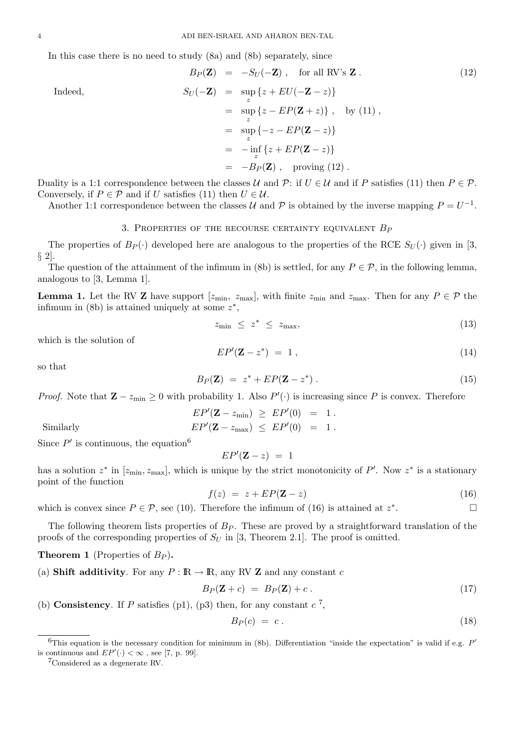In this case there is no need to study (8a) and (8b) separately, since

$$
B_P(\mathbf{Z}) = -S_U(-\mathbf{Z}), \text{ for all RV's } \mathbf{Z}. \qquad (12)
$$
  
\n
$$
S_U(-\mathbf{Z}) = \sup_z \{z + EU(-\mathbf{Z} - z)\}
$$
  
\n
$$
= \sup_z \{z - EP(\mathbf{Z} + z)\}, \text{ by (11)},
$$
  
\n
$$
= \sup_z \{-z - EP(\mathbf{Z} - z)\}
$$
  
\n
$$
= -\inf_z \{z + EP(\mathbf{Z} - z)\}
$$
  
\n
$$
= -B_P(\mathbf{Z}), \text{ proving (12)}.
$$

Duality is a 1:1 correspondence between the classes U and P: if  $U \in \mathcal{U}$  and if P satisfies (11) then  $P \in \mathcal{P}$ . Conversely, if  $P \in \mathcal{P}$  and if U satisfies (11) then  $U \in \mathcal{U}$ .

Another 1:1 correspondence between the classes U and P is obtained by the inverse mapping  $P = U^{-1}$ .

### 3. PROPERTIES OF THE RECOURSE CERTAINTY EQUIVALENT  $B_P$

The properties of  $B_P(\cdot)$  developed here are analogous to the properties of the RCE  $S_U(\cdot)$  given in [3,  $\S$  2].

The question of the attainment of the infimum in (8b) is settled, for any  $P \in \mathcal{P}$ , in the following lemma, analogous to [3, Lemma 1].

**Lemma 1.** Let the RV **Z** have support  $[z_{\text{min}}, z_{\text{max}}]$ , with finite  $z_{\text{min}}$  and  $z_{\text{max}}$ . Then for any  $P \in \mathcal{P}$  the infimum in (8b) is attained uniquely at some  $z^*$ ,

$$
z_{\min} \leq z^* \leq z_{\max}, \tag{13}
$$

which is the solution of

$$
EP'(\mathbf{Z} - z^*) = 1, \qquad (14)
$$

so that

$$
B_P(\mathbf{Z}) = z^* + EP(\mathbf{Z} - z^*).
$$
 (15)

*Proof.* Note that  $\mathbf{Z} - z_{\text{min}} \geq 0$  with probability 1. Also  $P'(\cdot)$  is increasing since P is convex. Therefore

$$
EP'(\mathbf{Z} - z_{\min}) \geq EP'(0) = 1.
$$
  
Similarly 
$$
EP'(\mathbf{Z} - z_{\max}) \leq EP'(0) = 1.
$$

Since  $P'$  is continuous, the equation<sup>6</sup>

$$
EP'(\mathbf{Z} - z) = 1
$$

has a solution  $z^*$  in  $[z_{\min}, z_{\max}]$ , which is unique by the strict monotonicity of P'. Now  $z^*$  is a stationary point of the function

$$
f(z) = z + EP(\mathbf{Z} - z) \tag{16}
$$

which is convex since  $P \in \mathcal{P}$ , see (10). Therefore the infimum of (16) is attained at  $z^*$ .

The following theorem lists properties of  $B_P$ . These are proved by a straightforward translation of the proofs of the corresponding properties of  $S_U$  in [3, Theorem 2.1]. The proof is omitted.

**Theorem 1** (Properties of  $B_P$ ).

(a) Shift additivity. For any  $P : \mathbb{R} \to \mathbb{R}$ , any RV Z and any constant c

$$
B_P(\mathbf{Z} + c) = B_P(\mathbf{Z}) + c. \tag{17}
$$

(b) Consistency. If P satisfies (p1), (p3) then, for any constant  $c^7$ ,

$$
B_P(c) = c. \t\t(18)
$$

<sup>7</sup>Considered as a degenerate RV.

Indeed,

<sup>&</sup>lt;sup>6</sup>This equation is the necessary condition for minimum in (8b). Differentiation "inside the expectation" is valid if e.g.  $P'$ is continuous and  $EP'(\cdot) < \infty$ , see [7, p. 99].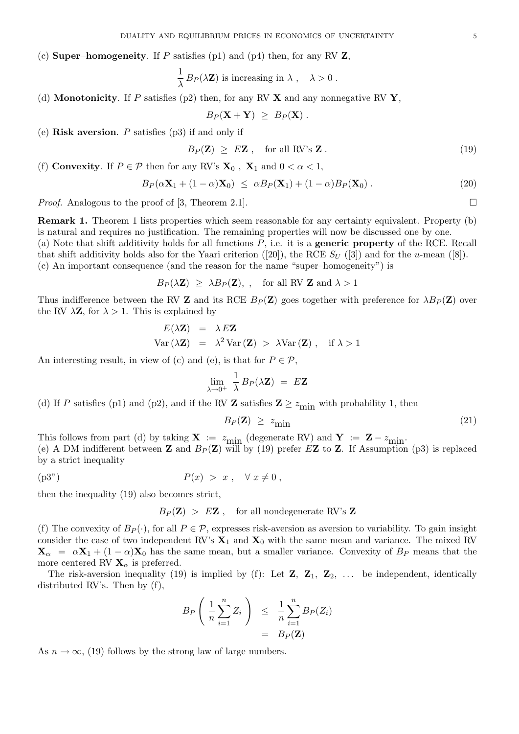(c) **Super–homogeneity**. If P satisfies (p1) and (p4) then, for any RV  $\mathbf{Z}$ ,

$$
\frac{1}{\lambda} B_P(\lambda \mathbf{Z})
$$
 is increasing in  $\lambda$ ,  $\lambda > 0$ .

(d) **Monotonicity**. If P satisfies (p2) then, for any RV  $\bf{X}$  and any nonnegative RV  $\bf{Y}$ ,

$$
B_P(\mathbf{X} + \mathbf{Y}) \ \geq \ B_P(\mathbf{X}) \ .
$$

(e) Risk aversion. P satisfies  $(p3)$  if and only if

$$
B_P(\mathbf{Z}) \geq E\mathbf{Z} \ , \quad \text{for all RV's } \mathbf{Z} \ . \tag{19}
$$

(f) Convexity. If  $P \in \mathcal{P}$  then for any RV's  $\mathbf{X}_0$ ,  $\mathbf{X}_1$  and  $0 < \alpha < 1$ ,

$$
B_P(\alpha \mathbf{X}_1 + (1 - \alpha)\mathbf{X}_0) \leq \alpha B_P(\mathbf{X}_1) + (1 - \alpha) B_P(\mathbf{X}_0).
$$
 (20)

*Proof.* Analogous to the proof of [3, Theorem 2.1].

Remark 1. Theorem 1 lists properties which seem reasonable for any certainty equivalent. Property (b) is natural and requires no justification. The remaining properties will now be discussed one by one. (a) Note that shift additivity holds for all functions  $P$ , i.e. it is a **generic property** of the RCE. Recall

that shift additivity holds also for the Yaari criterion ([20]), the RCE  $S_U$  ([3]) and for the u-mean ([8]).

(c) An important consequence (and the reason for the name "super–homogeneity") is

$$
B_P(\lambda \mathbf{Z}) \geq \lambda B_P(\mathbf{Z}),
$$
, for all RV **Z** and  $\lambda > 1$ 

Thus indifference between the RV **Z** and its RCE  $B_P(Z)$  goes together with preference for  $\lambda B_P(Z)$  over the RV  $\lambda \mathbf{Z}$ , for  $\lambda > 1$ . This is explained by

$$
E(\lambda \mathbf{Z}) = \lambda E \mathbf{Z}
$$
  
Var( $\lambda \mathbf{Z}$ ) =  $\lambda^2 Var(\mathbf{Z}) > \lambda Var(\mathbf{Z})$ , if  $\lambda > 1$ 

An interesting result, in view of (c) and (e), is that for  $P \in \mathcal{P}$ ,

$$
\lim_{\lambda \to 0^+} \frac{1}{\lambda} B_P(\lambda \mathbf{Z}) = E \mathbf{Z}
$$

(d) If P satisfies (p1) and (p2), and if the RV **Z** satisfies  $\mathbf{Z} \geq z_{\text{min}}$  with probability 1, then

$$
B_P(\mathbf{Z}) \geq z_{\text{min}} \tag{21}
$$

This follows from part (d) by taking  $X := z_{\text{min}}$  (degenerate RV) and  $Y := Z - z_{\text{min}}$ . (e) A DM indifferent between **Z** and  $B_P(Z)$  will by (19) prefer E**Z** to **Z**. If Assumption (p3) is replaced by a strict inequality

$$
(p3") \t\t P(x) > x , \quad \forall x \neq 0 ,
$$

then the inequality (19) also becomes strict,

 $B_P(Z) > EZ$ , for all nondegenerate RV's Z

(f) The convexity of  $B_P(\cdot)$ , for all  $P \in \mathcal{P}$ , expresses risk-aversion as aversion to variability. To gain insight consider the case of two independent RV's  $X_1$  and  $X_0$  with the same mean and variance. The mixed RV  $\mathbf{X}_{\alpha} = \alpha \mathbf{X}_1 + (1 - \alpha) \mathbf{X}_0$  has the same mean, but a smaller variance. Convexity of  $B_P$  means that the more centered RV  $\mathbf{X}_\alpha$  is preferred.

The risk-aversion inequality (19) is implied by (f): Let  $\mathbf{Z}, \mathbf{Z}_1, \mathbf{Z}_2, \ldots$  be independent, identically distributed RV's. Then by (f),

$$
B_P\left(\frac{1}{n}\sum_{i=1}^n Z_i\right) \leq \frac{1}{n}\sum_{i=1}^n B_P(Z_i)
$$
  
= 
$$
B_P(\mathbf{Z})
$$

As  $n \to \infty$ , (19) follows by the strong law of large numbers.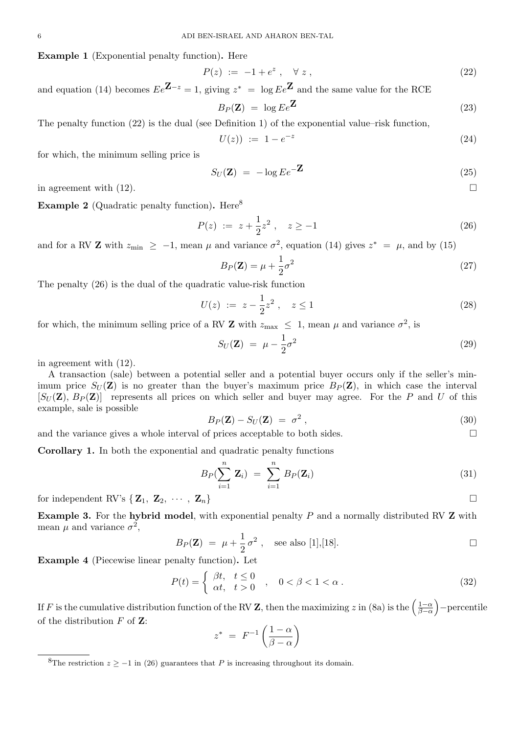Example 1 (Exponential penalty function). Here

$$
P(z) := -1 + e^z , \quad \forall z , \tag{22}
$$

and equation (14) becomes  $Ee^{\mathbf{Z}-z} = 1$ , giving  $z^* = \log Ee^{\mathbf{Z}}$  and the same value for the RCE

$$
B_P(\mathbf{Z}) = \log E e^{\mathbf{Z}} \tag{23}
$$

The penalty function (22) is the dual (see Definition 1) of the exponential value–risk function,

$$
U(z) \; := \; 1 - e^{-z} \tag{24}
$$

for which, the minimum selling price is

$$
S_U(\mathbf{Z}) = -\log E e^{-\mathbf{Z}}
$$
\n(25)

in agreement with  $(12)$ .

**Example 2** (Quadratic penalty function). Here<sup>8</sup>

$$
P(z) := z + \frac{1}{2}z^2 \ , \quad z \ge -1 \tag{26}
$$

and for a RV **Z** with  $z_{\text{min}} \ge -1$ , mean  $\mu$  and variance  $\sigma^2$ , equation (14) gives  $z^* = \mu$ , and by (15)

$$
B_P(\mathbf{Z}) = \mu + \frac{1}{2}\sigma^2 \tag{27}
$$

The penalty (26) is the dual of the quadratic value-risk function

$$
U(z) := z - \frac{1}{2}z^2 , \quad z \le 1
$$
\n(28)

for which, the minimum selling price of a RV **Z** with  $z_{\text{max}} \leq 1$ , mean  $\mu$  and variance  $\sigma^2$ , is

$$
S_U(\mathbf{Z}) = \mu - \frac{1}{2}\sigma^2 \tag{29}
$$

in agreement with (12).

A transaction (sale) between a potential seller and a potential buyer occurs only if the seller's minimum price  $S_U(\mathbf{Z})$  is no greater than the buyer's maximum price  $B_P(\mathbf{Z})$ , in which case the interval  $[S_U(\mathbf{Z}), B_P(\mathbf{Z})]$  represents all prices on which seller and buyer may agree. For the P and U of this example, sale is possible

$$
B_P(\mathbf{Z}) - S_U(\mathbf{Z}) = \sigma^2 \,, \tag{30}
$$

and the variance gives a whole interval of prices acceptable to both sides.  $\square$ 

Corollary 1. In both the exponential and quadratic penalty functions

$$
B_P(\sum_{i=1}^n \mathbf{Z}_i) = \sum_{i=1}^n B_P(\mathbf{Z}_i)
$$
\n(31)

for independent RV's  $\{ \mathbf{Z}_1, \mathbf{Z}_2, \cdots, \mathbf{Z}_n \}$ 

**Example 3.** For the hybrid model, with exponential penalty  $P$  and a normally distributed RV  $\bf{Z}$  with mean  $\mu$  and variance  $\sigma^2$ ,

$$
B_P(\mathbf{Z}) = \mu + \frac{1}{2}\sigma^2
$$
, see also [1],[18].

Example 4 (Piecewise linear penalty function). Let

$$
P(t) = \begin{cases} \beta t, & t \le 0 \\ \alpha t, & t > 0 \end{cases}, \quad 0 < \beta < 1 < \alpha \,. \tag{32}
$$

If F is the cumulative distribution function of the RV Z, then the maximizing z in (8a) is the  $\left(\frac{1-\alpha}{\beta-\alpha}\right)$  $\frac{1-\alpha}{\beta-\alpha}$  – percentile of the distribution  $F$  of  $\mathbf{Z}$ :

$$
z^* = F^{-1}\left(\frac{1-\alpha}{\beta-\alpha}\right)
$$

<sup>&</sup>lt;sup>8</sup>The restriction  $z \ge -1$  in (26) guarantees that P is increasing throughout its domain.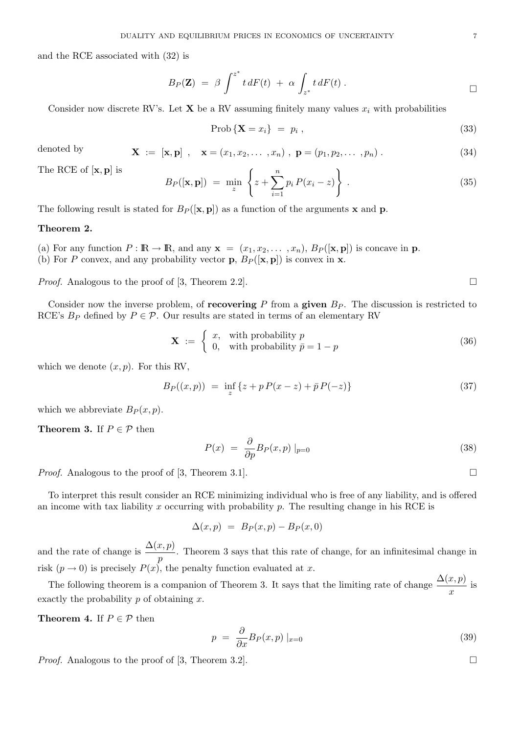and the RCE associated with (32) is

$$
B_P(\mathbf{Z}) = \beta \int^{z^*} t \, dF(t) + \alpha \int_{z^*} t \, dF(t) \, .
$$

Consider now discrete RV's. Let **X** be a RV assuming finitely many values  $x_i$  with probabilities

$$
Prob\left\{ \mathbf{X} = x_i \right\} = p_i , \tag{33}
$$

denoted by 
$$
\mathbf{X} := [\mathbf{x}, \mathbf{p}] , \quad \mathbf{x} = (x_1, x_2, ..., x_n) , \mathbf{p} = (p_1, p_2, ..., p_n) .
$$
 (34)

The RCE of  $[x, p]$  is

$$
B_P([\mathbf{x}, \mathbf{p}]) = \min_{z} \left\{ z + \sum_{i=1}^{n} p_i P(x_i - z) \right\} . \tag{35}
$$

The following result is stated for  $B_P(|\mathbf{x}, \mathbf{p}|)$  as a function of the arguments x and p.

## Theorem 2.

(a) For any function  $P : \mathbb{R} \to \mathbb{R}$ , and any  $\mathbf{x} = (x_1, x_2, \dots, x_n)$ ,  $B_P([\mathbf{x}, \mathbf{p}])$  is concave in  $\mathbf{p}$ . (b) For P convex, and any probability vector **p**,  $B_P([\mathbf{x}, \mathbf{p}])$  is convex in **x**.

*Proof.* Analogous to the proof of [3, Theorem 2.2].

Consider now the inverse problem, of **recovering** P from a **given**  $B<sub>P</sub>$ . The discussion is restricted to RCE's  $B_P$  defined by  $P \in \mathcal{P}$ . Our results are stated in terms of an elementary RV

$$
\mathbf{X} := \begin{cases} x, & \text{with probability } p \\ 0, & \text{with probability } \bar{p} = 1 - p \end{cases} \tag{36}
$$

which we denote  $(x, p)$ . For this RV,

$$
B_P((x, p)) = \inf_{z} \{ z + p P(x - z) + \bar{p} P(-z) \}
$$
\n(37)

which we abbreviate  $B_P(x, p)$ .

**Theorem 3.** If  $P \in \mathcal{P}$  then

$$
P(x) = \frac{\partial}{\partial p} B_P(x, p) |_{p=0}
$$
\n(38)

*Proof.* Analogous to the proof of [3, Theorem 3.1].

To interpret this result consider an RCE minimizing individual who is free of any liability, and is offered an income with tax liability  $x$  occurring with probability  $p$ . The resulting change in his RCE is

 $\Delta(x, p) = B_P(x, p) - B_P(x, 0)$ 

and the rate of change is  $\frac{\Delta(x,p)}{p}$ . Theorem 3 says that this rate of change, for an infinitesimal change in risk  $(p \to 0)$  is precisely  $P(x)$ , the penalty function evaluated at x.

The following theorem is a companion of Theorem 3. It says that the limiting rate of change  $\frac{\Delta(x, p)}{x}$  is exactly the probability  $p$  of obtaining  $x$ .

**Theorem 4.** If  $P \in \mathcal{P}$  then

$$
p = \frac{\partial}{\partial x} B_P(x, p) \mid_{x=0} \tag{39}
$$

*Proof.* Analogous to the proof of [3, Theorem 3.2].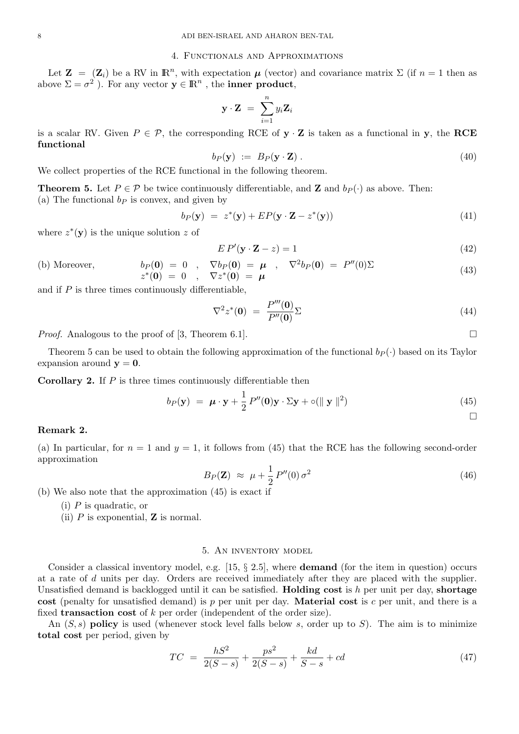#### 4. Functionals and Approximations

Let  $\mathbf{Z} = (\mathbf{Z}_i)$  be a RV in  $\mathbb{R}^n$ , with expectation  $\boldsymbol{\mu}$  (vector) and covariance matrix  $\Sigma$  (if  $n = 1$  then as above  $\Sigma = \sigma^2$  ). For any vector  $y \in \mathbb{R}^n$ , the **inner product**,

$$
\mathbf{y} \cdot \mathbf{Z} = \sum_{i=1}^{n} y_i \mathbf{Z}_i
$$

is a scalar RV. Given  $P \in \mathcal{P}$ , the corresponding RCE of **y**  $\cdot$  **Z** is taken as a functional in **y**, the **RCE** functional

$$
b_P(\mathbf{y}) := B_P(\mathbf{y} \cdot \mathbf{Z}). \tag{40}
$$

We collect properties of the RCE functional in the following theorem.

**Theorem 5.** Let  $P \in \mathcal{P}$  be twice continuously differentiable, and **Z** and  $b_P(\cdot)$  as above. Then: (a) The functional  $b<sub>P</sub>$  is convex, and given by

$$
b_P(\mathbf{y}) = z^*(\mathbf{y}) + EP(\mathbf{y} \cdot \mathbf{Z} - z^*(\mathbf{y})) \tag{41}
$$

where  $z^*(y)$  is the unique solution z of

$$
EP'(\mathbf{y} \cdot \mathbf{Z} - z) = 1\tag{42}
$$

(b) Moreover,  $b_P(0) = 0$ ,  $\nabla b_P(0) = \mu$ ,  $\nabla^2 b_P(0) = P''(0)\Sigma$  $z^*(0) = 0$ ,  $\nabla z^*(0) = \mu$ (43)

and if  $P$  is three times continuously differentiable,

$$
\nabla^2 z^*(\mathbf{0}) = \frac{P'''(\mathbf{0})}{P''(\mathbf{0})} \Sigma \tag{44}
$$

*Proof.* Analogous to the proof of [3, Theorem 6.1].

Theorem 5 can be used to obtain the following approximation of the functional  $b_P(\cdot)$  based on its Taylor expansion around  $y = 0$ .

**Corollary 2.** If  $P$  is three times continuously differentiable then

$$
b_P(\mathbf{y}) = \boldsymbol{\mu} \cdot \mathbf{y} + \frac{1}{2} P''(\mathbf{0}) \mathbf{y} \cdot \Sigma \mathbf{y} + o(\|\mathbf{y}\|^2)
$$
\n(45)

#### Remark 2.

(a) In particular, for  $n = 1$  and  $y = 1$ , it follows from (45) that the RCE has the following second-order approximation

$$
B_P(\mathbf{Z}) \approx \mu + \frac{1}{2} P''(0) \sigma^2 \tag{46}
$$

(b) We also note that the approximation (45) is exact if

- (i) P is quadratic, or
- (ii)  $P$  is exponential,  $\bf{Z}$  is normal.

## 5. An inventory model

Consider a classical inventory model, e.g.  $[15, \S 2.5]$ , where **demand** (for the item in question) occurs at a rate of d units per day. Orders are received immediately after they are placed with the supplier. Unsatisfied demand is backlogged until it can be satisfied. **Holding cost** is h per unit per day, **shortage** cost (penalty for unsatisfied demand) is p per unit per day. **Material cost** is c per unit, and there is a fixed **transaction cost** of  $k$  per order (independent of the order size).

An  $(S, s)$  policy is used (whenever stock level falls below s, order up to S). The aim is to minimize total cost per period, given by

$$
TC = \frac{hS^2}{2(S-s)} + \frac{ps^2}{2(S-s)} + \frac{kd}{S-s} + cd \tag{47}
$$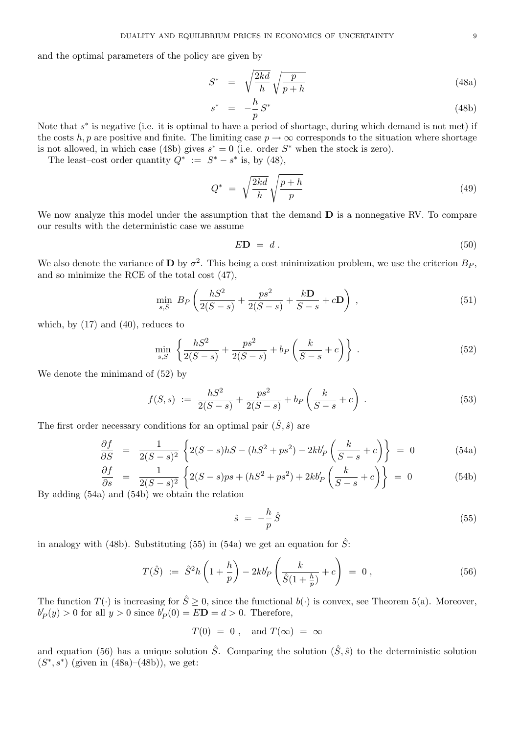and the optimal parameters of the policy are given by

$$
S^* = \sqrt{\frac{2kd}{h}} \sqrt{\frac{p}{p+h}} \tag{48a}
$$

$$
s^* = -\frac{h}{p} S^* \tag{48b}
$$

Note that  $s^*$  is negative (i.e. it is optimal to have a period of shortage, during which demand is not met) if the costs h, p are positive and finite. The limiting case  $p \to \infty$  corresponds to the situation where shortage is not allowed, in which case (48b) gives  $s^* = 0$  (i.e. order  $S^*$  when the stock is zero).

The least–cost order quantity  $Q^* := S^* - s^*$  is, by (48),

$$
Q^* = \sqrt{\frac{2kd}{h}} \sqrt{\frac{p+h}{p}} \tag{49}
$$

We now analyze this model under the assumption that the demand  **is a nonnegative RV. To compare** our results with the deterministic case we assume

$$
E\mathbf{D} = d. \tag{50}
$$

We also denote the variance of **D** by  $\sigma^2$ . This being a cost minimization problem, we use the criterion  $B_P$ , and so minimize the RCE of the total cost (47),

$$
\min_{s,S} \; B_P \left( \frac{hS^2}{2(S-s)} + \frac{ps^2}{2(S-s)} + \frac{k\mathbf{D}}{S-s} + c\mathbf{D} \right) \; , \tag{51}
$$

which, by  $(17)$  and  $(40)$ , reduces to

$$
\min_{s,S} \left\{ \frac{hS^2}{2(S-s)} + \frac{ps^2}{2(S-s)} + b_P \left( \frac{k}{S-s} + c \right) \right\} .
$$
\n(52)

We denote the minimand of (52) by

$$
f(S,s) := \frac{hS^2}{2(S-s)} + \frac{ps^2}{2(S-s)} + b_P\left(\frac{k}{S-s} + c\right).
$$
 (53)

The first order necessary conditions for an optimal pair  $(\hat{S}, \hat{s})$  are

$$
\frac{\partial f}{\partial S} = \frac{1}{2(S-s)^2} \left\{ 2(S-s)hS - (hS^2 + ps^2) - 2kb_P'\left(\frac{k}{S-s} + c\right) \right\} = 0 \tag{54a}
$$

$$
\frac{\partial f}{\partial s} = \frac{1}{2(S-s)^2} \left\{ 2(S-s)ps + (hS^2 + ps^2) + 2kb'_P\left(\frac{k}{S-s} + c\right) \right\} = 0 \tag{54b}
$$

By adding (54a) and (54b) we obtain the relation

$$
\hat{s} = -\frac{h}{p}\hat{S} \tag{55}
$$

in analogy with (48b). Substituting (55) in (54a) we get an equation for  $\hat{S}$ :

$$
T(\hat{S}) := \hat{S}^2 h\left(1 + \frac{h}{p}\right) - 2kb'_P\left(\frac{k}{\hat{S}(1 + \frac{h}{p})} + c\right) = 0, \qquad (56)
$$

The function  $T(\cdot)$  is increasing for  $\hat{S} \geq 0$ , since the functional  $b(\cdot)$  is convex, see Theorem 5(a). Moreover,  $b'_{P}(y) > 0$  for all  $y > 0$  since  $b'_{P}(0) = E\mathbf{D} = d > 0$ . Therefore,

$$
T(0) = 0, \text{ and } T(\infty) = \infty
$$

and equation (56) has a unique solution  $\hat{S}$ . Comparing the solution  $(\hat{S}, \hat{s})$  to the deterministic solution  $(S^*, s^*)$  (given in (48a)–(48b)), we get: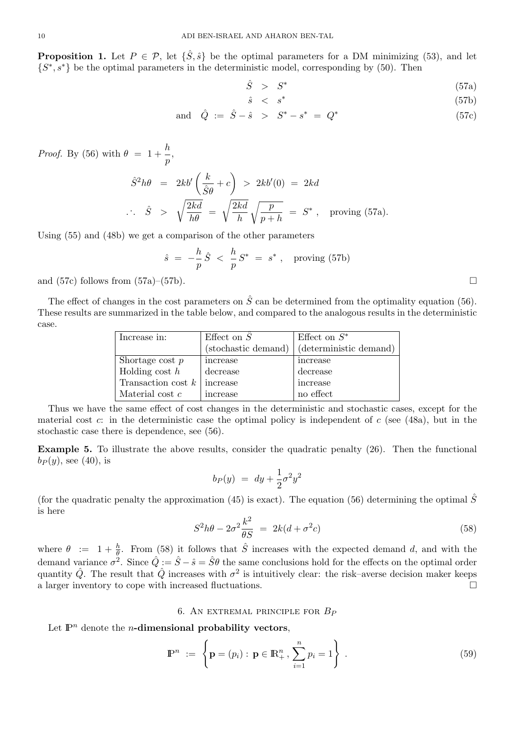**Proposition 1.** Let  $P \in \mathcal{P}$ , let  $\{\hat{S}, \hat{s}\}\$  be the optimal parameters for a DM minimizing (53), and let  $\{S^*, s^*\}$  be the optimal parameters in the deterministic model, corresponding by (50). Then

$$
\hat{S} > S^* \tag{57a}
$$

$$
\hat{s} \quad < \quad s^* \tag{57b}
$$

and 
$$
\hat{Q} := \hat{S} - \hat{s} > S^* - s^* = Q^*
$$
 (57c)

*Proof.* By (56) with  $\theta = 1 + \frac{h}{h}$  $\frac{1}{p},$ 

$$
\hat{S}^2 h\theta = 2kb' \left(\frac{k}{\hat{S}\theta} + c\right) > 2kb'(0) = 2kd
$$
  

$$
\therefore \quad \hat{S} > \sqrt{\frac{2kd}{h\theta}} = \sqrt{\frac{2kd}{h}} \sqrt{\frac{p}{p+h}} = S^*, \text{ proving (57a)}.
$$

Using (55) and (48b) we get a comparison of the other parameters

$$
\hat{s} = -\frac{h}{p}\hat{S} < \frac{h}{p}S^* = s^*
$$
, proving (57b)

and (57c) follows from (57a)–(57b).

The effect of changes in the cost parameters on  $\hat{S}$  can be determined from the optimality equation (56). These results are summarized in the table below, and compared to the analogous results in the deterministic case.

| Increase in:         | Effect on $S$       | Effect on $S^*$        |
|----------------------|---------------------|------------------------|
|                      | (stochastic demand) | (deterministic demand) |
| Shortage cost $p$    | increase            | increase               |
| Holding cost $h$     | decrease            | decrease               |
| Transaction cost $k$ | increase            | increase               |
| Material cost $c$    | increase            | no effect              |

Thus we have the same effect of cost changes in the deterministic and stochastic cases, except for the material cost c: in the deterministic case the optimal policy is independent of c (see (48a), but in the stochastic case there is dependence, see (56).

Example 5. To illustrate the above results, consider the quadratic penalty (26). Then the functional  $b_P(y)$ , see (40), is

$$
b_P(y) = dy + \frac{1}{2}\sigma^2 y^2
$$

(for the quadratic penalty the approximation (45) is exact). The equation (56) determining the optimal  $\hat{S}$ is here

$$
S^2h\theta - 2\sigma^2 \frac{k^2}{\theta S} = 2k(d + \sigma^2 c) \tag{58}
$$

where  $\theta := 1 + \frac{h}{\theta}$ . From (58) it follows that  $\hat{S}$  increases with the expected demand d, and with the demand variance  $\sigma^2$ . Since  $\hat{Q} := \hat{S} - \hat{s} = \hat{S}\theta$  the same conclusions hold for the effects on the optimal order quantity  $\hat{Q}$ . The result that  $\hat{Q}$  increases with  $\sigma^2$  is intuitively clear: the risk–averse decision maker keeps a larger inventory to cope with increased fluctuations.

# 6. AN EXTREMAL PRINCIPLE FOR  $B_P$

Let  $\mathbb{P}^n$  denote the *n*-dimensional probability vectors,

$$
\mathbb{P}^n := \left\{ \mathbf{p} = (p_i) : \mathbf{p} \in \mathbb{R}_+^n, \sum_{i=1}^n p_i = 1 \right\} . \tag{59}
$$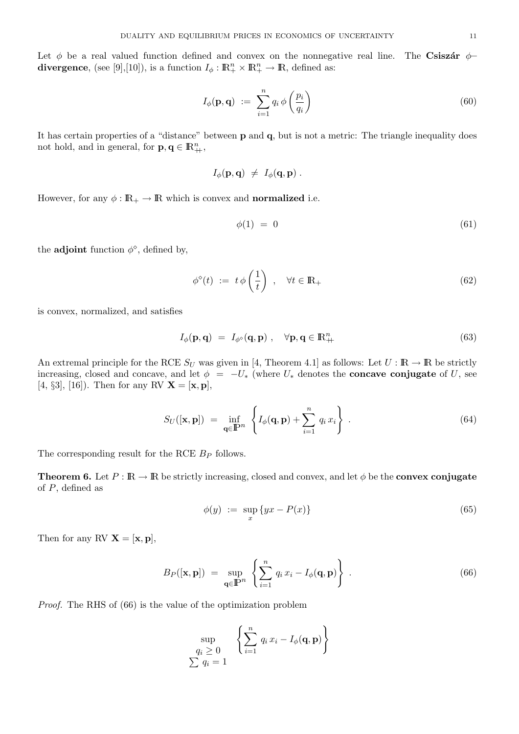Let  $\phi$  be a real valued function defined and convex on the nonnegative real line. The Csisz $\acute{\rm{a}}r \phi$ divergence, (see [9],[10]), is a function  $I_{\phi}: \mathbb{R}^n_+ \times \mathbb{R}^n_+ \to \mathbb{R}$ , defined as:

$$
I_{\phi}(\mathbf{p}, \mathbf{q}) := \sum_{i=1}^{n} q_i \phi\left(\frac{p_i}{q_i}\right) \tag{60}
$$

It has certain properties of a "distance" between p and q, but is not a metric: The triangle inequality does not hold, and in general, for  $\mathbf{p}, \mathbf{q} \in \mathbb{R}_{++}^n$ ,

$$
I_{\phi}(\mathbf{p},\mathbf{q}) \ \neq \ I_{\phi}(\mathbf{q},\mathbf{p}) \ .
$$

However, for any  $\phi : \mathbb{R}_+ \to \mathbb{R}$  which is convex and **normalized** i.e.

$$
\phi(1) = 0 \tag{61}
$$

the **adjoint** function  $\phi^{\diamond}$ , defined by,

$$
\phi^{\diamond}(t) := t \phi\left(\frac{1}{t}\right) , \quad \forall t \in \mathbb{R}_+ \tag{62}
$$

is convex, normalized, and satisfies

$$
I_{\phi}(\mathbf{p}, \mathbf{q}) = I_{\phi^{\diamond}}(\mathbf{q}, \mathbf{p}) , \quad \forall \mathbf{p}, \mathbf{q} \in \mathbb{R}_{++}^{n}
$$
 (63)

An extremal principle for the RCE  $S_U$  was given in [4, Theorem 4.1] as follows: Let  $U : \mathbb{R} \to \mathbb{R}$  be strictly increasing, closed and concave, and let  $\phi = -U_*$  (where  $U_*$  denotes the **concave conjugate** of U, see [4, §3], [16]). Then for any RV  $\mathbf{X} = [\mathbf{x}, \mathbf{p}],$ 

$$
S_U([\mathbf{x}, \mathbf{p}]) = \inf_{\mathbf{q} \in \mathbb{P}^n} \left\{ I_{\phi}(\mathbf{q}, \mathbf{p}) + \sum_{i=1}^n q_i x_i \right\}.
$$
 (64)

The corresponding result for the RCE  $B<sub>P</sub>$  follows.

**Theorem 6.** Let  $P : \mathbb{R} \to \mathbb{R}$  be strictly increasing, closed and convex, and let  $\phi$  be the **convex conjugate** of  $P$ , defined as

$$
\phi(y) := \sup_{x} \{ yx - P(x) \} \tag{65}
$$

Then for any RV  $X = [x, p]$ ,

$$
B_P([\mathbf{x}, \mathbf{p}]) = \sup_{\mathbf{q} \in \mathbb{P}^n} \left\{ \sum_{i=1}^n q_i x_i - I_{\phi}(\mathbf{q}, \mathbf{p}) \right\} . \tag{66}
$$

Proof. The RHS of (66) is the value of the optimization problem

$$
\sup_{\substack{q_i \ge 0 \\ \sum q_i = 1}} \left\{ \sum_{i=1}^n q_i x_i - I_{\phi}(\mathbf{q}, \mathbf{p}) \right\}
$$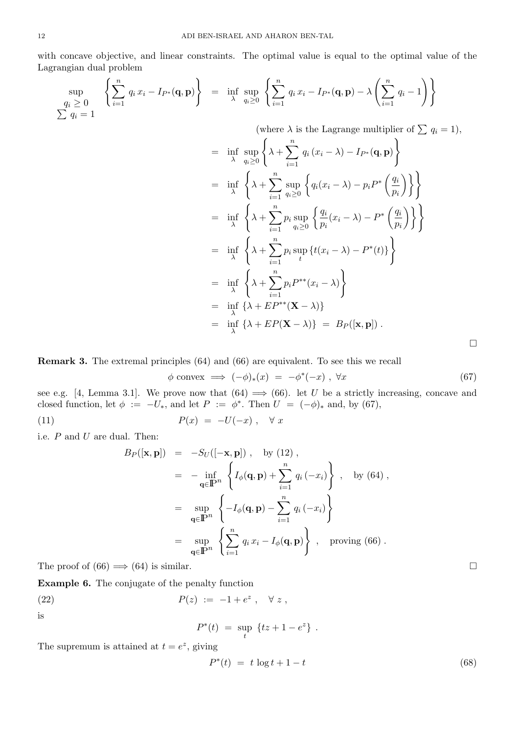with concave objective, and linear constraints. The optimal value is equal to the optimal value of the Lagrangian dual problem

$$
\sup_{\substack{q_i \geq 0 \\ \sum q_i = 1}} \left\{ \sum_{i=1}^n q_i x_i - I_{P^*}(\mathbf{q}, \mathbf{p}) \right\} = \inf_{\lambda} \sup_{q_i \geq 0} \left\{ \sum_{i=1}^n q_i x_i - I_{P^*}(\mathbf{q}, \mathbf{p}) - \lambda \left( \sum_{i=1}^n q_i - 1 \right) \right\}
$$

(where  $\lambda$  is the Lagrange multiplier of  $\sum q_i = 1$ ),

$$
= \inf_{\lambda} \sup_{q_i \geq 0} \left\{ \lambda + \sum_{i=1}^{n} q_i (x_i - \lambda) - I_{P^*}(\mathbf{q}, \mathbf{p}) \right\}
$$
  
\n
$$
= \inf_{\lambda} \left\{ \lambda + \sum_{i=1}^{n} \sup_{q_i \geq 0} \left\{ q_i (x_i - \lambda) - p_i P^* \left( \frac{q_i}{p_i} \right) \right\} \right\}
$$
  
\n
$$
= \inf_{\lambda} \left\{ \lambda + \sum_{i=1}^{n} p_i \sup_{q_i \geq 0} \left\{ \frac{q_i}{p_i} (x_i - \lambda) - P^* \left( \frac{q_i}{p_i} \right) \right\} \right\}
$$
  
\n
$$
= \inf_{\lambda} \left\{ \lambda + \sum_{i=1}^{n} p_i \sup_{t} \left\{ t(x_i - \lambda) - P^*(t) \right\} \right\}
$$
  
\n
$$
= \inf_{\lambda} \left\{ \lambda + \sum_{i=1}^{n} p_i P^{**}(x_i - \lambda) \right\}
$$
  
\n
$$
= \inf_{\lambda} \left\{ \lambda + E P^{**}(\mathbf{X} - \lambda) \right\}
$$
  
\n
$$
= \inf_{\lambda} \left\{ \lambda + E P(\mathbf{X} - \lambda) \right\}
$$
  
\n
$$
= \inf_{\lambda} \left\{ \lambda + E P(\mathbf{X} - \lambda) \right\}
$$

Remark 3. The extremal principles (64) and (66) are equivalent. To see this we recall

$$
\phi \text{ convex} \implies (-\phi)_*(x) = -\phi^*(-x), \forall x \tag{67}
$$

see e.g. [4, Lemma 3.1]. We prove now that  $(64) \implies (66)$ . let U be a strictly increasing, concave and closed function, let  $\phi := -U_*$ , and let  $P := \phi^*$ . Then  $U = (-\phi)_*$  and, by (67),

$$
P(x) = -U(-x), \quad \forall x
$$

i.e.  $P$  and  $U$  are dual. Then:

$$
B_P([\mathbf{x}, \mathbf{p}]) = -S_U([-\mathbf{x}, \mathbf{p}]), \text{ by (12)},
$$
  
\n
$$
= -\inf_{\mathbf{q} \in \mathbb{P}^n} \left\{ I_{\phi}(\mathbf{q}, \mathbf{p}) + \sum_{i=1}^n q_i(-x_i) \right\}, \text{ by (64)},
$$
  
\n
$$
= \sup_{\mathbf{q} \in \mathbb{P}^n} \left\{ -I_{\phi}(\mathbf{q}, \mathbf{p}) - \sum_{i=1}^n q_i(-x_i) \right\}
$$
  
\n
$$
= \sup_{\mathbf{q} \in \mathbb{P}^n} \left\{ \sum_{i=1}^n q_i x_i - I_{\phi}(\mathbf{q}, \mathbf{p}) \right\}, \text{ proving (66)}.
$$

The proof of  $(66) \implies (64)$  is similar.

Example 6. The conjugate of the penalty function

(22) 
$$
P(z) := -1 + e^{z}, \quad \forall z,
$$

is

$$
P^*(t) \ = \ \sup_t \ \left\{ t z + 1 - e^z \right\} \ .
$$

The supremum is attained at  $t = e^z$ , giving

$$
P^*(t) = t \log t + 1 - t \tag{68}
$$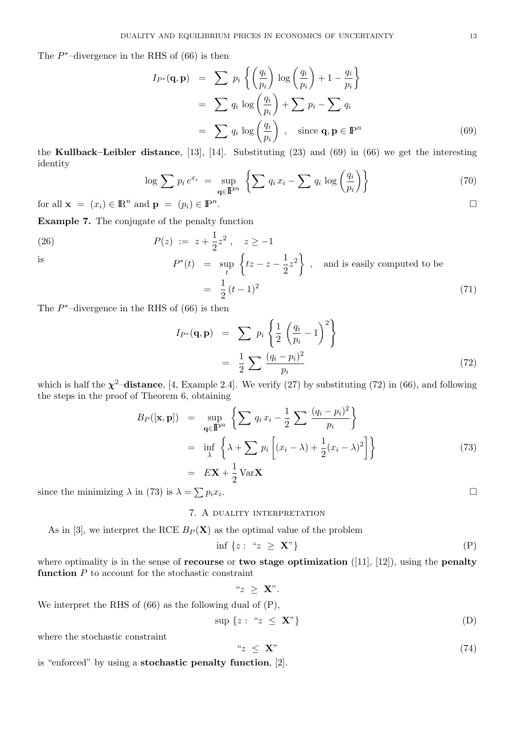The  $P^*$ -divergence in the RHS of (66) is then

$$
I_{P^*}(\mathbf{q}, \mathbf{p}) = \sum p_i \left\{ \left( \frac{q_i}{p_i} \right) \log \left( \frac{q_i}{p_i} \right) + 1 - \frac{q_i}{p_i} \right\}
$$
  
= 
$$
\sum q_i \log \left( \frac{q_i}{p_i} \right) + \sum p_i - \sum q_i
$$
  
= 
$$
\sum q_i \log \left( \frac{q_i}{p_i} \right) , \text{ since } \mathbf{q}, \mathbf{p} \in \mathbb{P}^n
$$
 (69)

the Kullback–Leibler distance, [13], [14]. Substituting (23) and (69) in (66) we get the interesting identity

$$
\log \sum p_i e^{x_i} = \sup_{\mathbf{q} \in \mathbb{P}^n} \left\{ \sum q_i x_i - \sum q_i \log \left( \frac{q_i}{p_i} \right) \right\} \tag{70}
$$

for all 
$$
\mathbf{x} = (x_i) \in \mathbb{R}^n
$$
 and  $\mathbf{p} = (p_i) \in \mathbb{P}^n$ .

Example 7. The conjugate of the penalty function

(26) 
$$
P(z) := z + \frac{1}{2}z^2, \quad z \ge -1
$$

is  
\n
$$
P^*(t) = \sup_t \left\{ tz - z - \frac{1}{2}z^2 \right\}, \text{ and is easily computed to be}
$$
\n
$$
= \frac{1}{2}(t-1)^2
$$
\n(71)

The  $P^*$ -divergence in the RHS of (66) is then

$$
I_{P^*}(\mathbf{q}, \mathbf{p}) = \sum p_i \left\{ \frac{1}{2} \left( \frac{q_i}{p_i} - 1 \right)^2 \right\}
$$
  

$$
= \frac{1}{2} \sum \frac{(q_i - p_i)^2}{p_i} \tag{72}
$$

which is half the  $\chi^2$ -distance, [4, Example 2.4]. We verify (27) by substituting (72) in (66), and following the steps in the proof of Theorem 6, obtaining

$$
B_P([\mathbf{x}, \mathbf{p}]) = \sup_{\mathbf{q} \in \mathbb{P}^n} \left\{ \sum q_i x_i - \frac{1}{2} \sum \frac{(q_i - p_i)^2}{p_i} \right\}
$$
  
\n
$$
= \inf_{\lambda} \left\{ \lambda + \sum p_i \left[ (x_i - \lambda) + \frac{1}{2} (x_i - \lambda)^2 \right] \right\}
$$
  
\n
$$
= E\mathbf{X} + \frac{1}{2} \text{Var}\mathbf{X}
$$
  
\n
$$
\text{in (73) is } \lambda = \sum p_i x_i.
$$

since the minimizing  $\lambda$  in (73) is  $\lambda = \sum p_i x_i$ 

# 7. A duality interpretation

As in [3], we interpret the RCE  $B_P(\mathbf{X})$  as the optimal value of the problem

$$
\inf \{ z : \text{``} z \geq \mathbf{X}" \} \tag{P}
$$

where optimality is in the sense of **recourse** or **two stage optimization** ([11], [12]), using the **penalty** function  $P$  to account for the stochastic constraint

$$
``z ~\geq~ \mathbf{X}".
$$

We interpret the RHS of (66) as the following dual of (P),

$$
\sup \{z : \text{``} z \leq \mathbf{X}"\} \tag{D}
$$

where the stochastic constraint

$$
x \leq \mathbf{X}^n \tag{74}
$$

is "enforced" by using a stochastic penalty function, [2].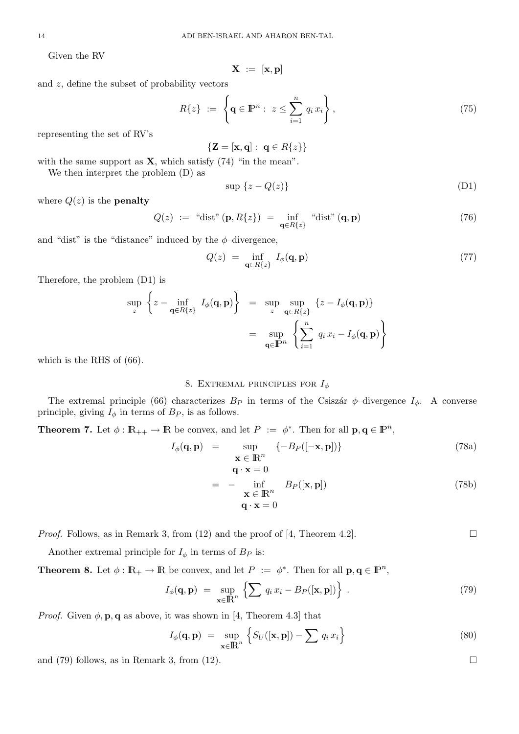Given the RV

$$
\mathbf{X} \ := \ [\mathbf{x}, \mathbf{p}]
$$

and z, define the subset of probability vectors

$$
R\{z\} \ := \ \left\{ \mathbf{q} \in \mathbb{P}^n : \ z \le \sum_{i=1}^n q_i x_i \right\},\tag{75}
$$

representing the set of RV's

 ${Z = [x, q]: q \in R\{z\}}$ 

with the same support as  $X$ , which satisfy (74) "in the mean".

We then interpret the problem (D) as

$$
\sup \{z - Q(z)\}\tag{D1}
$$

where  $Q(z)$  is the **penalty** 

$$
Q(z) := "dist" (\mathbf{p}, R\{z\}) = \inf_{\mathbf{q} \in R\{z\}} "dist" (\mathbf{q}, \mathbf{p})
$$
\n(76)

and "dist" is the "distance" induced by the  $\phi$ -divergence,

$$
Q(z) = \inf_{\mathbf{q} \in R\{z\}} I_{\phi}(\mathbf{q}, \mathbf{p}) \tag{77}
$$

Therefore, the problem (D1) is

$$
\sup_{z} \left\{ z - \inf_{\mathbf{q} \in R\{z\}} I_{\phi}(\mathbf{q}, \mathbf{p}) \right\} = \sup_{z} \sup_{\mathbf{q} \in R\{z\}} \left\{ z - I_{\phi}(\mathbf{q}, \mathbf{p}) \right\}
$$

$$
= \sup_{\mathbf{q} \in \mathbb{P}^n} \left\{ \sum_{i=1}^n q_i x_i - I_{\phi}(\mathbf{q}, \mathbf{p}) \right\}
$$

which is the RHS of (66).

# 8. EXTREMAL PRINCIPLES FOR  $I_{\phi}$

The extremal principle (66) characterizes  $B_P$  in terms of the Csiszár  $\phi$ -divergence  $I_{\phi}$ . A converse principle, giving  $I_{\phi}$  in terms of  $B_P$ , is as follows.

**Theorem 7.** Let  $\phi : \mathbb{R}_{++} \to \mathbb{R}$  be convex, and let  $P := \phi^*$ . Then for all  $p, q \in \mathbb{P}^n$ ,

$$
I_{\phi}(\mathbf{q}, \mathbf{p}) = \sup_{\mathbf{x} \in \mathbb{R}^n} \{ -B_P([- \mathbf{x}, \mathbf{p}]) \}
$$
\n
$$
q \cdot \mathbf{x} = 0
$$
\n(78a)

$$
= - \inf_{\mathbf{x} \in \mathbb{R}^n} B_P([\mathbf{x}, \mathbf{p}])
$$
  
 
$$
\mathbf{q} \cdot \mathbf{x} = 0
$$
 (78b)

*Proof.* Follows, as in Remark 3, from (12) and the proof of [4, Theorem 4.2].

Another extremal principle for  $I_{\phi}$  in terms of  $B_P$  is:

**Theorem 8.** Let  $\phi : \mathbb{R}_+ \to \mathbb{R}$  be convex, and let  $P := \phi^*$ . Then for all  $p, q \in \mathbb{P}^n$ ,

$$
I_{\phi}(\mathbf{q}, \mathbf{p}) = \sup_{\mathbf{x} \in \mathbb{R}^n} \left\{ \sum q_i x_i - B_P([\mathbf{x}, \mathbf{p}]) \right\} . \tag{79}
$$

*Proof.* Given  $\phi$ , **p**, **q** as above, it was shown in [4, Theorem 4.3] that

$$
I_{\phi}(\mathbf{q}, \mathbf{p}) = \sup_{\mathbf{x} \in \mathbb{R}^n} \left\{ S_U([\mathbf{x}, \mathbf{p}]) - \sum q_i x_i \right\} \tag{80}
$$

and (79) follows, as in Remark 3, from (12).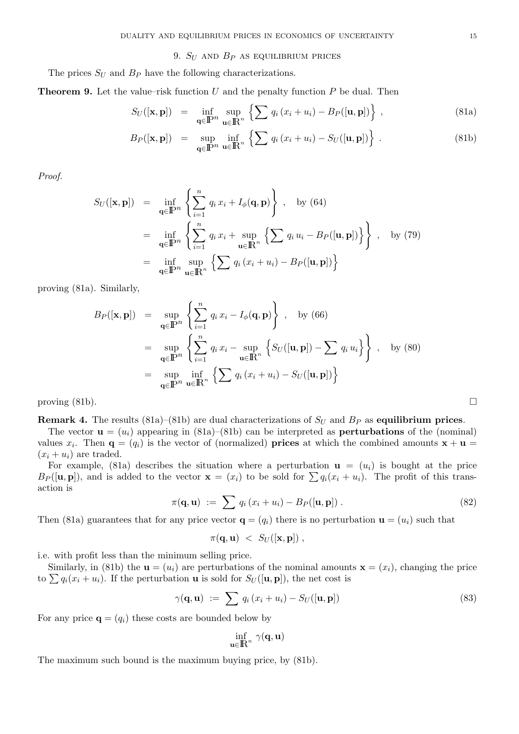## 9.  $S_U$  and  $B_P$  as equilibrium prices

The prices  $S_U$  and  $B_P$  have the following characterizations.

**Theorem 9.** Let the value–risk function  $U$  and the penalty function  $P$  be dual. Then

$$
S_U([\mathbf{x}, \mathbf{p}]) = \inf_{\mathbf{q} \in \mathbb{P}^n} \sup_{\mathbf{u} \in \mathbb{R}^n} \left\{ \sum q_i (x_i + u_i) - B_P([\mathbf{u}, \mathbf{p}]) \right\},\tag{81a}
$$

$$
B_P([\mathbf{x}, \mathbf{p}]) = \sup_{\mathbf{q} \in \mathbb{P}^n} \inf_{\mathbf{u} \in \mathbb{R}^n} \left\{ \sum q_i (x_i + u_i) - S_U([\mathbf{u}, \mathbf{p}]) \right\}.
$$
 (81b)

Proof.

$$
S_U([\mathbf{x}, \mathbf{p}]) = \inf_{\mathbf{q} \in \mathbb{P}^n} \left\{ \sum_{i=1}^n q_i x_i + I_{\phi}(\mathbf{q}, \mathbf{p}) \right\}, \text{ by (64)}
$$
  
\n
$$
= \inf_{\mathbf{q} \in \mathbb{P}^n} \left\{ \sum_{i=1}^n q_i x_i + \sup_{\mathbf{u} \in \mathbb{R}^n} \left\{ \sum q_i u_i - B_P([\mathbf{u}, \mathbf{p}]) \right\} \right\}, \text{ by (79)}
$$
  
\n
$$
= \inf_{\mathbf{q} \in \mathbb{P}^n} \sup_{\mathbf{u} \in \mathbb{R}^n} \left\{ \sum q_i (x_i + u_i) - B_P([\mathbf{u}, \mathbf{p}]) \right\}
$$

proving (81a). Similarly,

$$
B_P([\mathbf{x}, \mathbf{p}]) = \sup_{\mathbf{q} \in \mathbb{P}^n} \left\{ \sum_{i=1}^n q_i x_i - I_{\phi}(\mathbf{q}, \mathbf{p}) \right\}, \text{ by (66)}
$$
  

$$
= \sup_{\mathbf{q} \in \mathbb{P}^n} \left\{ \sum_{i=1}^n q_i x_i - \sup_{\mathbf{u} \in \mathbb{R}^n} \left\{ S_U([\mathbf{u}, \mathbf{p}]) - \sum_{i=1}^n q_i u_i \right\} \right\}, \text{ by (80)}
$$
  

$$
= \sup_{\mathbf{q} \in \mathbb{P}^n} \inf_{\mathbf{u} \in \mathbb{R}^n} \left\{ \sum_{i=1}^n q_i (x_i + u_i) - S_U([\mathbf{u}, \mathbf{p}]) \right\}
$$

proving  $(81b)$ .

**Remark 4.** The results (81a)–(81b) are dual characterizations of  $S_U$  and  $B_P$  as equilibrium prices.

The vector  $\mathbf{u} = (u_i)$  appearing in (81a)–(81b) can be interpreted as **perturbations** of the (nominal) values  $x_i$ . Then  $\mathbf{q} = (q_i)$  is the vector of (normalized) **prices** at which the combined amounts  $\mathbf{x} + \mathbf{u} =$  $(x_i + u_i)$  are traded.

For example, (81a) describes the situation where a perturbation  $\mathbf{u} = (u_i)$  is bought at the price  $B_P([\mathbf{u}, \mathbf{p}])$ , and is added to the vector  $\mathbf{x} = (x_i)$  to be sold for  $\sum q_i(x_i + u_i)$ . The profit of this transaction is

$$
\pi(\mathbf{q}, \mathbf{u}) := \sum q_i (x_i + u_i) - B_P([\mathbf{u}, \mathbf{p}]). \qquad (82)
$$

Then (81a) guarantees that for any price vector  $\mathbf{q} = (q_i)$  there is no perturbation  $\mathbf{u} = (u_i)$  such that

$$
\pi(\mathbf{q},\mathbf{u}) \ < \ S_U([\mathbf{x},\mathbf{p}]) \ ,
$$

i.e. with profit less than the minimum selling price.

Similarly, in (81b) the  $\mathbf{u} = (u_i)$  are perturbations of the nominal amounts  $\mathbf{x} = (x_i)$ , changing the price to  $\sum q_i(x_i + u_i)$ . If the perturbation **u** is sold for  $S_U([\mathbf{u}, \mathbf{p}])$ , the net cost is

$$
\gamma(\mathbf{q}, \mathbf{u}) := \sum q_i (x_i + u_i) - S_U([\mathbf{u}, \mathbf{p}]) \tag{83}
$$

For any price  $\mathbf{q} = (q_i)$  these costs are bounded below by

$$
\inf_{\mathbf{u}\in\mathbb{R}^n}\gamma(\mathbf{q},\mathbf{u})
$$

The maximum such bound is the maximum buying price, by (81b).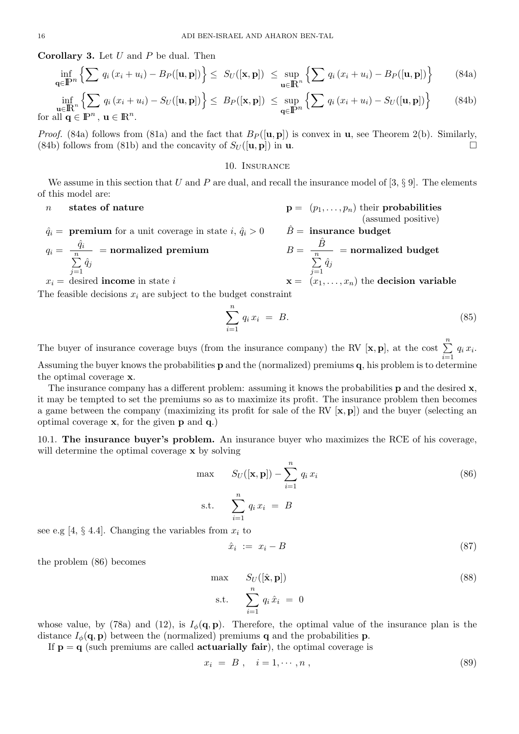**Corollary 3.** Let  $U$  and  $P$  be dual. Then

$$
\inf_{\mathbf{q}\in\mathbb{P}^n} \left\{ \sum q_i \left( x_i + u_i \right) - B_P([\mathbf{u}, \mathbf{p}]) \right\} \leq S_U([\mathbf{x}, \mathbf{p}]) \leq \sup_{\mathbf{u}\in\mathbb{R}^n} \left\{ \sum q_i \left( x_i + u_i \right) - B_P([\mathbf{u}, \mathbf{p}]) \right\} \tag{84a}
$$

$$
\inf_{\mathbf{u}\in\mathbb{R}^n} \left\{ \sum q_i (x_i + u_i) - S_U([\mathbf{u}, \mathbf{p}]) \right\} \leq B_P([\mathbf{x}, \mathbf{p}]) \leq \sup_{\mathbf{q}\in\mathbb{P}^n} \left\{ \sum q_i (x_i + u_i) - S_U([\mathbf{u}, \mathbf{p}]) \right\} \tag{84b}
$$
 for all  $\mathbf{q} \in \mathbb{P}^n$ ,  $\mathbf{u} \in \mathbb{R}^n$ .

*Proof.* (84a) follows from (81a) and the fact that  $B_P([\mathbf{u}, \mathbf{p}])$  is convex in  $\mathbf{u}$ , see Theorem 2(b). Similarly, (84b) follows from (81b) and the concavity of  $S_U([\mathbf{u}, \mathbf{p}])$  in  $\mathbf{u}$ .

### 10. Insurance

We assume in this section that U and P are dual, and recall the insurance model of [3,  $\S$  9]. The elements of this model are:

- n states of nature  $p = (p_1, \ldots, p_n)$  their probabilities
- $\hat{q}_i = \textbf{premium}$  for a unit coverage in state  $i, \hat{q}_i > 0$

$$
q_i = \frac{\hat{q}_i}{\sum_{j=1}^n \hat{q}_j} = \text{normalized premium} \qquad B = \frac{\hat{B}}{\sum_{j=1}^n \hat{q}_j} = \text{normalized budget}
$$

 $x_i$  = desired income in state i x  $\mathbf{x} = (x_1, \ldots, x_n)$  the decision variable

The feasible decisions  $x_i$  are subject to the budget constraint

$$
\sum_{i=1}^{n} q_i x_i = B. \tag{85}
$$

(assumed positive)<br>  $\hat{B}$  = **insurance budget** 

The buyer of insurance coverage buys (from the insurance company) the RV  $[\mathbf{x}, \mathbf{p}]$ , at the cost  $\sum_{n=1}^{n}$  $i=1$  $q_i x_i$ . Assuming the buyer knows the probabilities p and the (normalized) premiums q, his problem is to determine the optimal coverage x.

The insurance company has a different problem: assuming it knows the probabilities **p** and the desired  $\mathbf{x}$ , it may be tempted to set the premiums so as to maximize its profit. The insurance problem then becomes a game between the company (maximizing its profit for sale of the RV  $[\mathbf{x}, \mathbf{p}]$ ) and the buyer (selecting an optimal coverage  $x$ , for the given  $p$  and  $q$ .)

10.1. The insurance buyer's problem. An insurance buyer who maximizes the RCE of his coverage, will determine the optimal coverage **x** by solving

$$
\max \qquad S_U([\mathbf{x}, \mathbf{p}]) - \sum_{i=1}^n q_i x_i \tag{86}
$$

$$
\text{s.t.} \quad \sum_{i=1}^{n} q_i \, x_i \ = \ B
$$

see e.g [4,  $\S$  4.4]. Changing the variables from  $x_i$  to

$$
\hat{x}_i := x_i - B \tag{87}
$$

the problem (86) becomes

$$
\max \quad S_U([\hat{\mathbf{x}}, \mathbf{p}])
$$
\n
$$
\text{s.t.} \quad \sum_{i=1}^n q_i \hat{x}_i = 0
$$
\n
$$
(88)
$$

whose value, by (78a) and (12), is  $I_{\phi}(\mathbf{q}, \mathbf{p})$ . Therefore, the optimal value of the insurance plan is the distance  $I_{\phi}(\mathbf{q}, \mathbf{p})$  between the (normalized) premiums **q** and the probabilities **p**.

If  $p = q$  (such premiums are called **actuarially fair**), the optimal coverage is

$$
x_i = B, \quad i = 1, \cdots, n \tag{89}
$$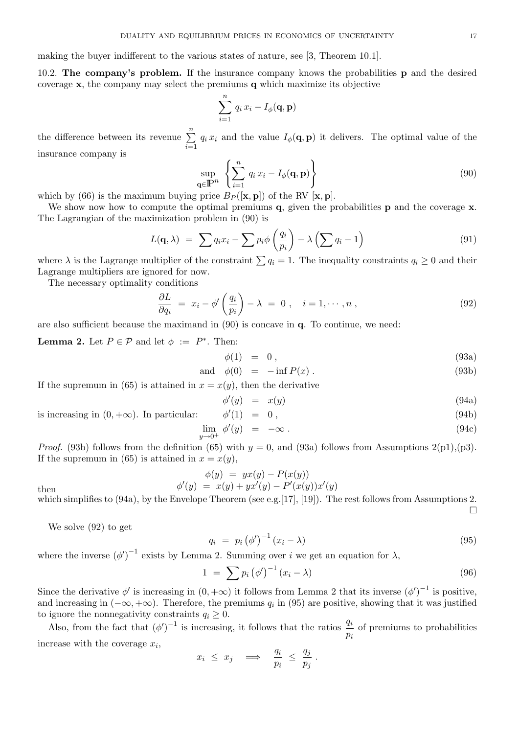making the buyer indifferent to the various states of nature, see [3, Theorem 10.1].

10.2. The company's problem. If the insurance company knows the probabilities p and the desired coverage  $x$ , the company may select the premiums q which maximize its objective

$$
\sum_{i=1}^{n} q_i x_i - I_{\phi}(\mathbf{q}, \mathbf{p})
$$

the difference between its revenue  $\sum_{n=1}^{\infty}$  $\frac{i=1}{i}$  $q_i x_i$  and the value  $I_\phi(\mathbf{q}, \mathbf{p})$  it delivers. The optimal value of the insurance company is

$$
\sup_{\mathbf{q}\in\mathbb{P}^n} \left\{ \sum_{i=1}^n q_i x_i - I_{\phi}(\mathbf{q}, \mathbf{p}) \right\} \tag{90}
$$

which by (66) is the maximum buying price  $B_P([\mathbf{x}, \mathbf{p}])$  of the RV  $[\mathbf{x}, \mathbf{p}]$ .

We show now how to compute the optimal premiums  $q$ , given the probabilities **p** and the coverage  $x$ . The Lagrangian of the maximization problem in (90) is

$$
L(\mathbf{q}, \lambda) = \sum q_i x_i - \sum p_i \phi\left(\frac{q_i}{p_i}\right) - \lambda \left(\sum q_i - 1\right) \tag{91}
$$

where  $\lambda$  is the Lagrange multiplier of the constraint  $\sum q_i = 1$ . The inequality constraints  $q_i \geq 0$  and their Lagrange multipliers are ignored for now.

The necessary optimality conditions

$$
\frac{\partial L}{\partial q_i} = x_i - \phi' \left( \frac{q_i}{p_i} \right) - \lambda = 0 , \quad i = 1, \cdots, n , \qquad (92)
$$

are also sufficient because the maximand in (90) is concave in q. To continue, we need:

φ

**Lemma 2.** Let  $P \in \mathcal{P}$  and let  $\phi := P^*$ . Then:

$$
\phi(1) = 0, \tag{93a}
$$

$$
and \phi(0) = -\inf P(x). \tag{93b}
$$

If the supremum in (65) is attained in  $x = x(y)$ , then the derivative

$$
\begin{array}{rcl}\n\prime(y) & = & x(y) \\
\prime(1) & = & 0 \,, \\
\end{array} \tag{94a}
$$

is increasing in  $(0, +\infty)$ . In particular:

$$
\lim_{y \to 0^+} \phi'(y) = -\infty \tag{94c}
$$

*Proof.* (93b) follows from the definition (65) with  $y = 0$ , and (93a) follows from Assumptions 2(p1),(p3). If the supremum in (65) is attained in  $x = x(y)$ ,

$$
\phi(y) = yx(y) - P(x(y)) \n\phi'(y) = x(y) + yx'(y) - P'(x(y))x'(y)
$$

then  $\phi$ 

which simplifies to (94a), by the Envelope Theorem (see e.g. [17], [19]). The rest follows from Assumptions 2. 
$$
\Box
$$

We solve (92) to get

$$
q_i = p_i \left(\phi'\right)^{-1} \left(x_i - \lambda\right) \tag{95}
$$

where the inverse  $(\phi')^{-1}$  exists by Lemma 2. Summing over i we get an equation for  $\lambda$ ,

$$
1 = \sum p_i (\phi')^{-1} (x_i - \lambda) \tag{96}
$$

Since the derivative  $\phi'$  is increasing in  $(0, +\infty)$  it follows from Lemma 2 that its inverse  $(\phi')^{-1}$  is positive, and increasing in  $(-\infty, +\infty)$ . Therefore, the premiums  $q_i$  in (95) are positive, showing that it was justified to ignore the nonnegativity constraints  $q_i \geq 0$ .

Also, from the fact that  $(\phi')^{-1}$  is increasing, it follows that the ratios  $\frac{q_i}{q_i}$  $\frac{q_i}{p_i}$  of premiums to probabilities increase with the coverage  $x_i$ ,

$$
x_i \leq x_j \quad \Longrightarrow \quad \frac{q_i}{p_i} \leq \frac{q_j}{p_j} \, .
$$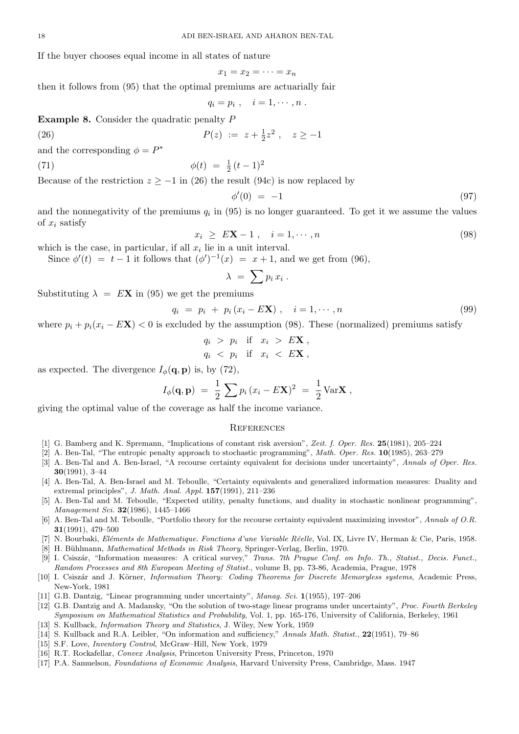If the buyer chooses equal income in all states of nature

$$
x_1 = x_2 = \cdots = x_n
$$

then it follows from (95) that the optimal premiums are actuarially fair

$$
q_i=p_i\ ,\quad i=1,\cdots,n\ .
$$

Example 8. Consider the quadratic penalty P

$$
(26)
$$

(26) 
$$
P(z) := z + \frac{1}{2}z^2, \quad z \ge -1
$$

and the corresponding  $\phi = P^*$ 

(71) 
$$
\phi(t) = \frac{1}{2}(t-1)^2
$$

Because of the restriction  $z > -1$  in (26) the result (94c) is now replaced by

$$
\phi'(0) = -1 \tag{97}
$$

and the nonnegativity of the premiums  $q_i$  in (95) is no longer guaranteed. To get it we assume the values of  $x_i$  satisfy

$$
x_i \ge E\mathbf{X} - 1 \,, \quad i = 1, \cdots, n \tag{98}
$$

which is the case, in particular, if all  $x_i$  lie in a unit interval.

Since  $\phi'(t) = t - 1$  it follows that  $(\phi')^{-1}(x) = x + 1$ , and we get from (96),

$$
\lambda = \sum p_i x_i .
$$

Substituting  $\lambda = E\mathbf{X}$  in (95) we get the premiums

$$
q_i = p_i + p_i (x_i - E\mathbf{X}), \quad i = 1, \cdots, n
$$
\n
$$
(99)
$$

where  $p_i + p_i(x_i - E\mathbf{X}) < 0$  is excluded by the assumption (98). These (normalized) premiums satisfy

$$
q_i > p_i \quad \text{if} \quad x_i > E\mathbf{X} \,,
$$
  

$$
q_i < p_i \quad \text{if} \quad x_i < E\mathbf{X} \,,
$$

as expected. The divergence  $I_{\phi}(\mathbf{q}, \mathbf{p})$  is, by (72),

$$
I_{\phi}(\mathbf{q}, \mathbf{p}) = \frac{1}{2} \sum p_i (x_i - E\mathbf{X})^2 = \frac{1}{2} \text{Var} \mathbf{X} ,
$$

giving the optimal value of the coverage as half the income variance.

#### **REFERENCES**

- [1] G. Bamberg and K. Spremann, "Implications of constant risk aversion", Zeit. f. Oper. Res. 25(1981), 205–224
- [2] A. Ben-Tal, "The entropic penalty approach to stochastic programming", Math. Oper. Res. 10(1985), 263–279
- [3] A. Ben-Tal and A. Ben-Israel, "A recourse certainty equivalent for decisions under uncertainty", Annals of Oper. Res. 30(1991), 3–44
- [4] A. Ben-Tal, A. Ben-Israel and M. Teboulle, "Certainty equivalents and generalized information measures: Duality and extremal principles", J. Math. Anal. Appl. 157(1991), 211–236
- [5] A. Ben-Tal and M. Teboulle, "Expected utility, penalty functions, and duality in stochastic nonlinear programming", Management Sci. 32(1986), 1445–1466
- [6] A. Ben-Tal and M. Teboulle, "Portfolio theory for the recourse certainty equivalent maximizing investor", Annals of O.R. 31(1991), 479–500
- [7] N. Bourbaki, Eléments de Mathematique. Fonctions d'une Variable Réelle, Vol. IX, Livre IV, Herman & Cie, Paris, 1958.
- [8] H. Bühlmann, Mathematical Methods in Risk Theory, Springer-Verlag, Berlin, 1970.
- [9] I. Csiszár, "Information measures: A critical survey," Trans. 7th Prague Conf. on Info. Th., Statist., Decis. Funct., Random Processes and 8th European Meeting of Statist., volume B, pp. 73-86, Academia, Prague, 1978
- [10] I. Csiszár and J. Körner, *Information Theory: Coding Theorems for Discrete Memoryless systems*, Academic Press, New-York, 1981
- [11] G.B. Dantzig, "Linear programming under uncertainty", Manag. Sci. 1(1955), 197–206
- [12] G.B. Dantzig and A. Madansky, "On the solution of two-stage linear programs under uncertainty", Proc. Fourth Berkeley Symposium on Mathematical Statistics and Probability, Vol. 1, pp. 165-176, University of California, Berkeley, 1961
- [13] S. Kullback, *Information Theory and Statistics*, J. Wiley, New York, 1959
- [14] S. Kullback and R.A. Leibler, "On information and sufficiency," Annals Math. Statist., 22(1951), 79–86
- [15] S.F. Love, Inventory Control, McGraw–Hill, New York, 1979
- [16] R.T. Rockafellar, Convex Analysis, Princeton University Press, Princeton, 1970
- [17] P.A. Samuelson, Foundations of Economic Analysis, Harvard University Press, Cambridge, Mass. 1947